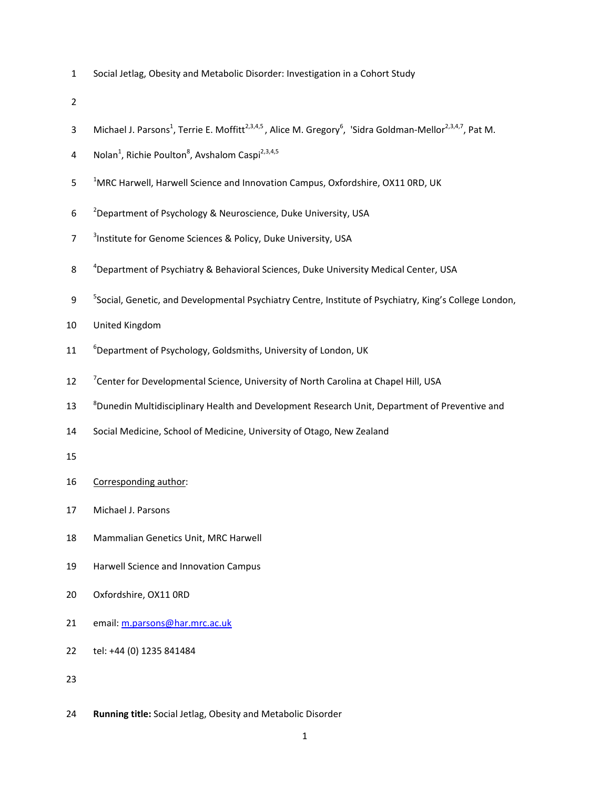1 Social Jetlag, Obesity and Metabolic Disorder: Investigation in a Cohort Study

2

- 3 Michael J. Parsons<sup>1</sup>, Terrie E. Moffitt<sup>2,3,4,5</sup>, Alice M. Gregory<sup>6</sup>, 'Sidra Goldman-Mellor<sup>2,3,4,7</sup>, Pat M.
- 4 Nolan<sup>1</sup>, Richie Poulton<sup>8</sup>, Avshalom Caspi<sup>2,3,4,5</sup>
- <sup>1</sup>MRC Harwell, Harwell Science and Innovation Campus, Oxfordshire, OX11 0RD, UK
- 6 <sup>2</sup> Department of Psychology & Neuroscience, Duke University, USA
- 7 <sup>3</sup> Institute for Genome Sciences & Policy, Duke University, USA
- <sup>4</sup> 8 Department of Psychiatry & Behavioral Sciences, Duke University Medical Center, USA
- 9 <sup>5</sup> Social, Genetic, and Developmental Psychiatry Centre, Institute of Psychiatry, King's College London,
- 10 United Kingdom
- 11 <sup>6</sup> Department of Psychology, Goldsmiths, University of London, UK
- 12 <sup>7</sup> Center for Developmental Science, University of North Carolina at Chapel Hill, USA
- <sup>8</sup> Dunedin Multidisciplinary Health and Development Research Unit, Department of Preventive and
- 14 Social Medicine, School of Medicine, University of Otago, New Zealand
- 15

16 Corresponding author:

- 17 Michael J. Parsons
- 18 Mammalian Genetics Unit, MRC Harwell
- 19 Harwell Science and Innovation Campus
- 20 Oxfordshire, OX11 0RD
- 21 email: m.parsons@har.mrc.ac.uk
- 22 tel: +44 (0) 1235 841484
- 23
- 24 **Running title:** Social Jetlag, Obesity and Metabolic Disorder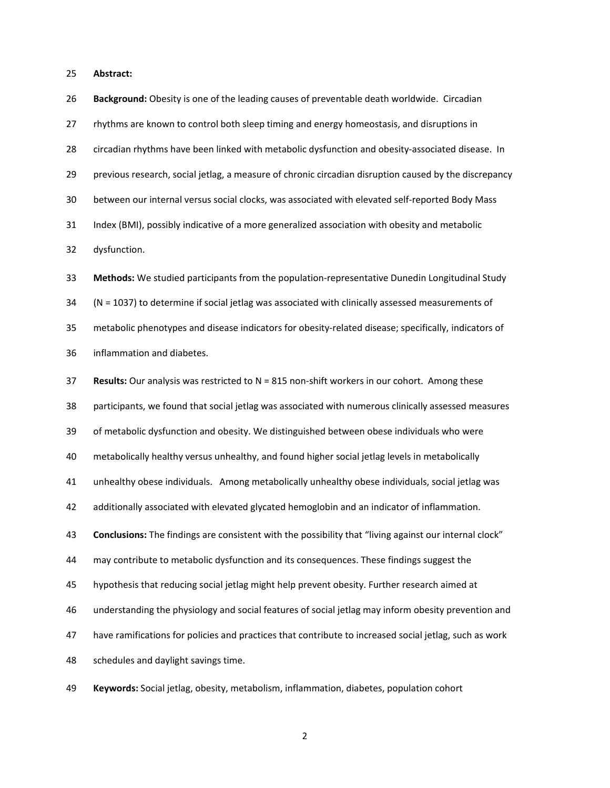25 **Abstract:** 

26 **Background:** Obesity is one of the leading causes of preventable death worldwide. Circadian

27 rhythms are known to control both sleep timing and energy homeostasis, and disruptions in

28 circadian rhythms have been linked with metabolic dysfunction and obesity-associated disease. In

29 previous research, social jetlag, a measure of chronic circadian disruption caused by the discrepancy

30 between our internal versus social clocks, was associated with elevated self-reported Body Mass

31 Index (BMI), possibly indicative of a more generalized association with obesity and metabolic

32 dysfunction.

33 **Methods:** We studied participants from the population-representative Dunedin Longitudinal Study 34 (N = 1037) to determine if social jetlag was associated with clinically assessed measurements of 35 metabolic phenotypes and disease indicators for obesity-related disease; specifically, indicators of 36 inflammation and diabetes.

37 **Results:** Our analysis was restricted to N = 815 non-shift workers in our cohort. Among these 38 participants, we found that social jetlag was associated with numerous clinically assessed measures 39 of metabolic dysfunction and obesity. We distinguished between obese individuals who were 40 metabolically healthy versus unhealthy, and found higher social jetlag levels in metabolically 41 unhealthy obese individuals. Among metabolically unhealthy obese individuals, social jetlag was 42 additionally associated with elevated glycated hemoglobin and an indicator of inflammation. 43 **Conclusions:** The findings are consistent with the possibility that "living against our internal clock" 44 may contribute to metabolic dysfunction and its consequences. These findings suggest the 45 hypothesis that reducing social jetlag might help prevent obesity. Further research aimed at 46 understanding the physiology and social features of social jetlag may inform obesity prevention and 47 have ramifications for policies and practices that contribute to increased social jetlag, such as work 48 schedules and daylight savings time.

49 **Keywords:** Social jetlag, obesity, metabolism, inflammation, diabetes, population cohort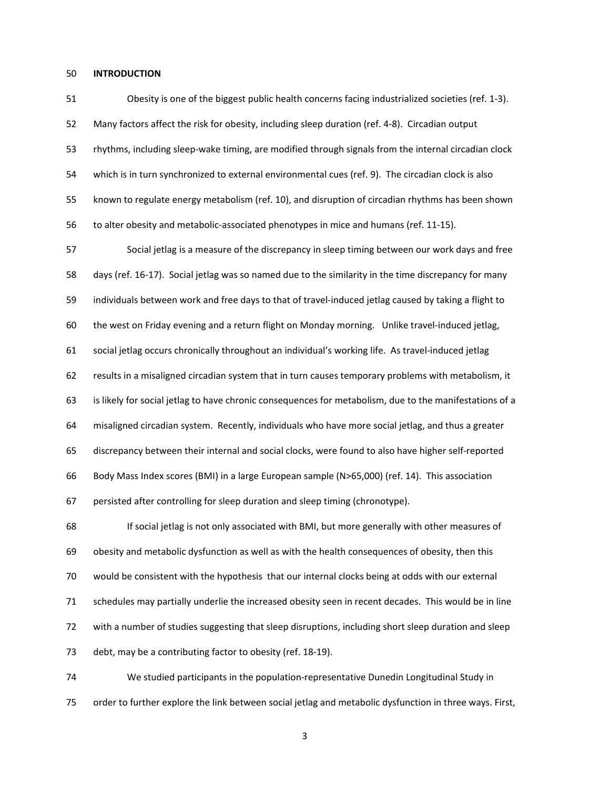#### 50 **INTRODUCTION**

51 Obesity is one of the biggest public health concerns facing industrialized societies (ref. 1-3). 52 Many factors affect the risk for obesity, including sleep duration (ref. 4-8). Circadian output 53 rhythms, including sleep-wake timing, are modified through signals from the internal circadian clock 54 which is in turn synchronized to external environmental cues (ref. 9). The circadian clock is also 55 known to regulate energy metabolism (ref. 10), and disruption of circadian rhythms has been shown 56 to alter obesity and metabolic-associated phenotypes in mice and humans (ref. 11-15).

57 Social jetlag is a measure of the discrepancy in sleep timing between our work days and free 58 days (ref. 16-17). Social jetlag was so named due to the similarity in the time discrepancy for many 59 individuals between work and free days to that of travel-induced jetlag caused by taking a flight to 60 the west on Friday evening and a return flight on Monday morning. Unlike travel-induced jetlag, 61 social jetlag occurs chronically throughout an individual's working life. As travel-induced jetlag 62 results in a misaligned circadian system that in turn causes temporary problems with metabolism, it 63 is likely for social jetlag to have chronic consequences for metabolism, due to the manifestations of a 64 misaligned circadian system. Recently, individuals who have more social jetlag, and thus a greater 65 discrepancy between their internal and social clocks, were found to also have higher self-reported 66 Body Mass Index scores (BMI) in a large European sample (N>65,000) (ref. 14). This association 67 persisted after controlling for sleep duration and sleep timing (chronotype).

68 If social jetlag is not only associated with BMI, but more generally with other measures of 69 obesity and metabolic dysfunction as well as with the health consequences of obesity, then this 70 would be consistent with the hypothesis that our internal clocks being at odds with our external 71 schedules may partially underlie the increased obesity seen in recent decades. This would be in line 72 with a number of studies suggesting that sleep disruptions, including short sleep duration and sleep 73 debt, may be a contributing factor to obesity (ref. 18-19).

74 We studied participants in the population-representative Dunedin Longitudinal Study in 75 order to further explore the link between social jetlag and metabolic dysfunction in three ways. First,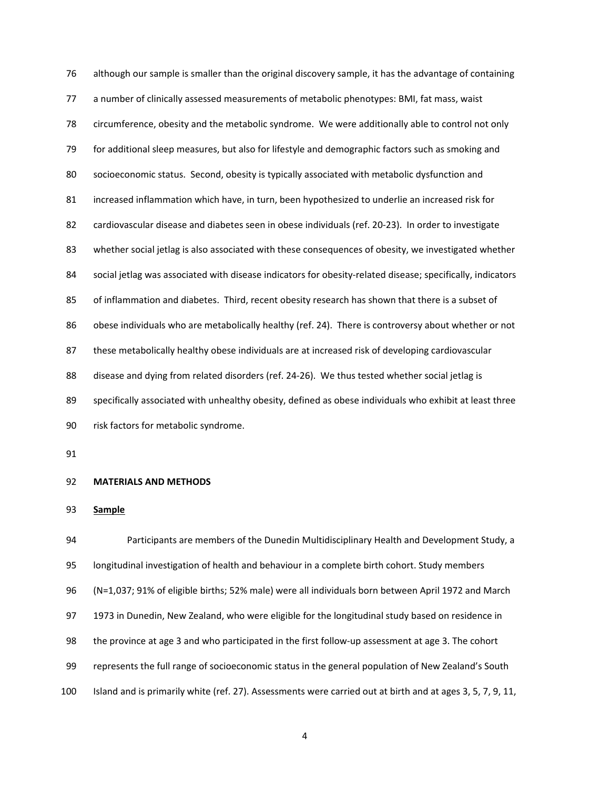76 although our sample is smaller than the original discovery sample, it has the advantage of containing 77 a number of clinically assessed measurements of metabolic phenotypes: BMI, fat mass, waist 78 circumference, obesity and the metabolic syndrome. We were additionally able to control not only 79 for additional sleep measures, but also for lifestyle and demographic factors such as smoking and 80 socioeconomic status. Second, obesity is typically associated with metabolic dysfunction and 81 increased inflammation which have, in turn, been hypothesized to underlie an increased risk for 82 cardiovascular disease and diabetes seen in obese individuals (ref. 20-23). In order to investigate 83 whether social jetlag is also associated with these consequences of obesity, we investigated whether 84 social jetlag was associated with disease indicators for obesity-related disease; specifically, indicators 85 of inflammation and diabetes. Third, recent obesity research has shown that there is a subset of 86 obese individuals who are metabolically healthy (ref. 24). There is controversy about whether or not 87 these metabolically healthy obese individuals are at increased risk of developing cardiovascular 88 disease and dying from related disorders (ref. 24-26). We thus tested whether social jetlag is 89 specifically associated with unhealthy obesity, defined as obese individuals who exhibit at least three 90 risk factors for metabolic syndrome.

91

#### 92 **MATERIALS AND METHODS**

93 **Sample** 

94 Participants are members of the Dunedin Multidisciplinary Health and Development Study, a 95 longitudinal investigation of health and behaviour in a complete birth cohort. Study members 96 (N=1,037; 91% of eligible births; 52% male) were all individuals born between April 1972 and March 97 1973 in Dunedin, New Zealand, who were eligible for the longitudinal study based on residence in 98 the province at age 3 and who participated in the first follow-up assessment at age 3. The cohort 99 represents the full range of socioeconomic status in the general population of New Zealand's South 100 Island and is primarily white (ref. 27). Assessments were carried out at birth and at ages 3, 5, 7, 9, 11,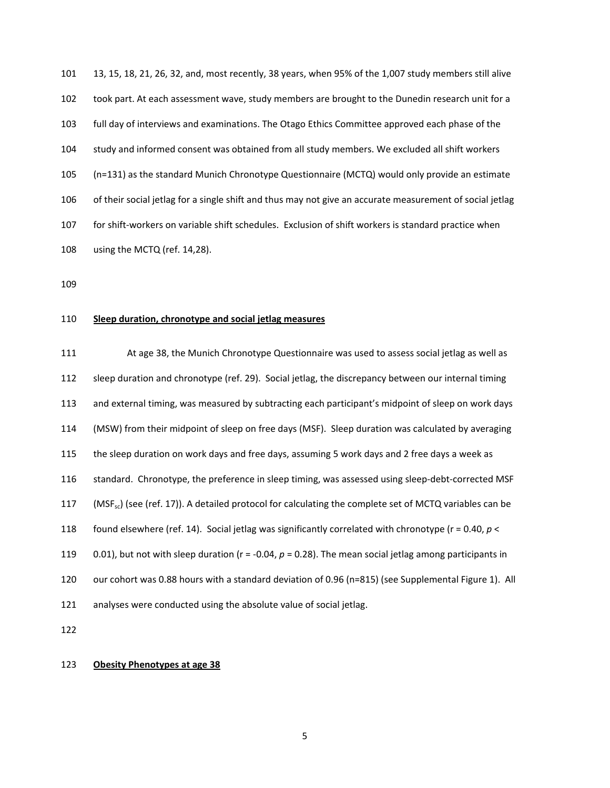101 13, 15, 18, 21, 26, 32, and, most recently, 38 years, when 95% of the 1,007 study members still alive 102 took part. At each assessment wave, study members are brought to the Dunedin research unit for a 103 full day of interviews and examinations. The Otago Ethics Committee approved each phase of the 104 study and informed consent was obtained from all study members. We excluded all shift workers 105 (n=131) as the standard Munich Chronotype Questionnaire (MCTQ) would only provide an estimate 106 of their social jetlag for a single shift and thus may not give an accurate measurement of social jetlag 107 for shift-workers on variable shift schedules. Exclusion of shift workers is standard practice when 108 using the MCTQ (ref. 14,28).

109

## 110 **Sleep duration, chronotype and social jetlag measures**

111 At age 38, the Munich Chronotype Questionnaire was used to assess social jetlag as well as 112 sleep duration and chronotype (ref. 29). Social jetlag, the discrepancy between our internal timing 113 and external timing, was measured by subtracting each participant's midpoint of sleep on work days 114 (MSW) from their midpoint of sleep on free days (MSF). Sleep duration was calculated by averaging 115 the sleep duration on work days and free days, assuming 5 work days and 2 free days a week as 116 standard. Chronotype, the preference in sleep timing, was assessed using sleep-debt-corrected MSF 117 (MSF<sub>sc</sub>) (see (ref. 17)). A detailed protocol for calculating the complete set of MCTQ variables can be 118 found elsewhere (ref. 14). Social jetlag was significantly correlated with chronotype (r = 0.40, *p* < 119 0.01), but not with sleep duration (r = -0.04, *p* = 0.28). The mean social jetlag among participants in 120 our cohort was 0.88 hours with a standard deviation of 0.96 (n=815) (see Supplemental Figure 1). All 121 analyses were conducted using the absolute value of social jetlag.

122

### 123 **Obesity Phenotypes at age 38**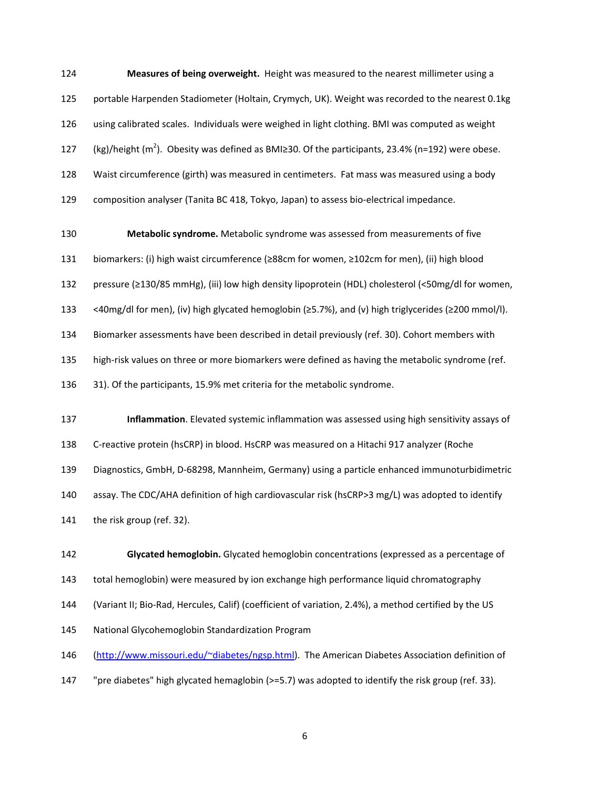124 **Measures of being overweight.** Height was measured to the nearest millimeter using a 125 portable Harpenden Stadiometer (Holtain, Crymych, UK). Weight was recorded to the nearest 0.1kg 126 using calibrated scales. Individuals were weighed in light clothing. BMI was computed as weight 127 (kg)/height ( $m^2$ ). Obesity was defined as BMI≥30. Of the participants, 23.4% (n=192) were obese. 128 Waist circumference (girth) was measured in centimeters. Fat mass was measured using a body 129 composition analyser (Tanita BC 418, Tokyo, Japan) to assess bio-electrical impedance.

130 **Metabolic syndrome.** Metabolic syndrome was assessed from measurements of five 131 biomarkers: (i) high waist circumference (≥88cm for women, ≥102cm for men), (ii) high blood 132 pressure (≥130/85 mmHg), (iii) low high density lipoprotein (HDL) cholesterol (<50mg/dl for women, 133 <40mg/dl for men), (iv) high glycated hemoglobin (≥5.7%), and (v) high triglycerides (≥200 mmol/l). 134 Biomarker assessments have been described in detail previously (ref. 30). Cohort members with 135 high-risk values on three or more biomarkers were defined as having the metabolic syndrome (ref. 136 31). Of the participants, 15.9% met criteria for the metabolic syndrome.

137 **Inflammation**. Elevated systemic inflammation was assessed using high sensitivity assays of 138 C-reactive protein (hsCRP) in blood. HsCRP was measured on a Hitachi 917 analyzer (Roche 139 Diagnostics, GmbH, D-68298, Mannheim, Germany) using a particle enhanced immunoturbidimetric 140 assay. The CDC/AHA definition of high cardiovascular risk (hsCRP>3 mg/L) was adopted to identify 141 the risk group (ref. 32).

142 **Glycated hemoglobin.** Glycated hemoglobin concentrations (expressed as a percentage of 143 total hemoglobin) were measured by ion exchange high performance liquid chromatography 144 (Variant II; Bio-Rad, Hercules, Calif) (coefficient of variation, 2.4%), a method certified by the US 145 National Glycohemoglobin Standardization Program 146 (http://www.missouri.edu/~diabetes/ngsp.html). The American Diabetes Association definition of

147 "pre diabetes" high glycated hemaglobin (>=5.7) was adopted to identify the risk group (ref. 33).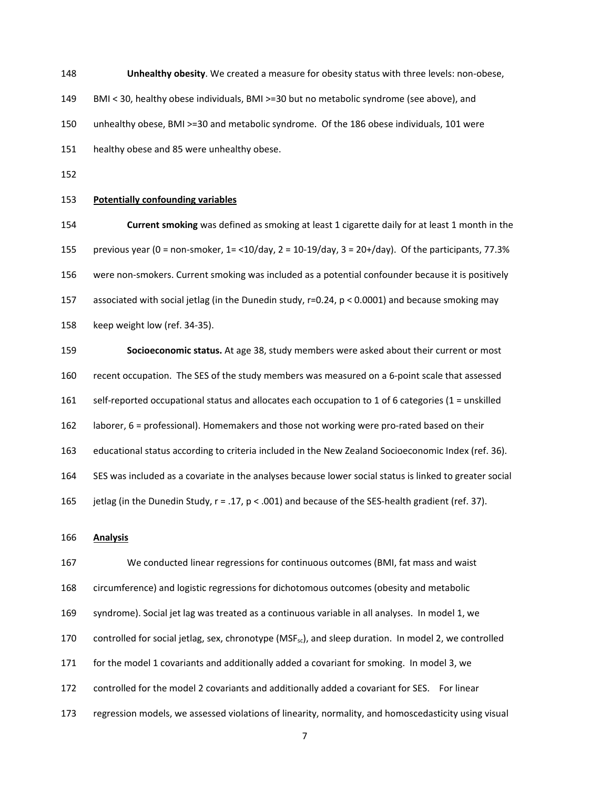148 **Unhealthy obesity**. We created a measure for obesity status with three levels: non-obese, 149 BMI < 30, healthy obese individuals, BMI >=30 but no metabolic syndrome (see above), and 150 unhealthy obese, BMI >=30 and metabolic syndrome. Of the 186 obese individuals, 101 were

151 healthy obese and 85 were unhealthy obese.

152

### 153 **Potentially confounding variables**

154 **Current smoking** was defined as smoking at least 1 cigarette daily for at least 1 month in the 155 previous year (0 = non-smoker, 1= <10/day, 2 = 10-19/day, 3 = 20+/day). Of the participants, 77.3% 156 were non-smokers. Current smoking was included as a potential confounder because it is positively 157 associated with social jetlag (in the Dunedin study, r=0.24, p < 0.0001) and because smoking may 158 keep weight low (ref. 34-35).

159 **Socioeconomic status.** At age 38, study members were asked about their current or most 160 recent occupation. The SES of the study members was measured on a 6-point scale that assessed 161 self-reported occupational status and allocates each occupation to 1 of 6 categories (1 = unskilled 162 laborer, 6 = professional). Homemakers and those not working were pro-rated based on their 163 educational status according to criteria included in the New Zealand Socioeconomic Index (ref. 36). 164 SES was included as a covariate in the analyses because lower social status is linked to greater social 165 jetlag (in the Dunedin Study, r = .17, p < .001) and because of the SES-health gradient (ref. 37).

# 166 **Analysis**

167 We conducted linear regressions for continuous outcomes (BMI, fat mass and waist 168 circumference) and logistic regressions for dichotomous outcomes (obesity and metabolic 169 syndrome). Social jet lag was treated as a continuous variable in all analyses. In model 1, we 170 controlled for social jetlag, sex, chronotype (MSF<sub>sc</sub>), and sleep duration. In model 2, we controlled 171 for the model 1 covariants and additionally added a covariant for smoking. In model 3, we 172 controlled for the model 2 covariants and additionally added a covariant for SES. For linear 173 regression models, we assessed violations of linearity, normality, and homoscedasticity using visual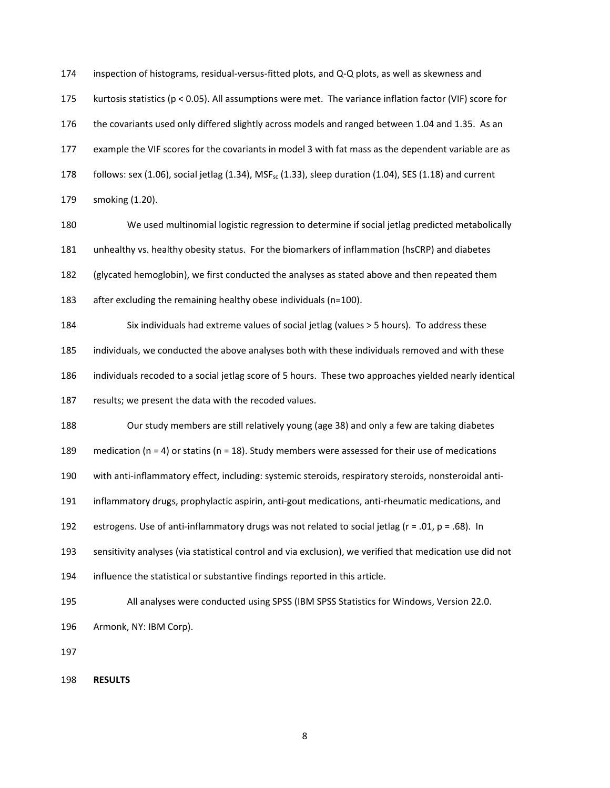174 inspection of histograms, residual-versus-fitted plots, and Q-Q plots, as well as skewness and 175 kurtosis statistics (p < 0.05). All assumptions were met. The variance inflation factor (VIF) score for 176 the covariants used only differed slightly across models and ranged between 1.04 and 1.35. As an 177 example the VIF scores for the covariants in model 3 with fat mass as the dependent variable are as 178 follows: sex (1.06), social jetlag (1.34), MSF<sub>sc</sub> (1.33), sleep duration (1.04), SES (1.18) and current 179 smoking (1.20).

180 We used multinomial logistic regression to determine if social jetlag predicted metabolically 181 unhealthy vs. healthy obesity status. For the biomarkers of inflammation (hsCRP) and diabetes 182 (glycated hemoglobin), we first conducted the analyses as stated above and then repeated them 183 after excluding the remaining healthy obese individuals (n=100).

184 Six individuals had extreme values of social jetlag (values > 5 hours). To address these

185 individuals, we conducted the above analyses both with these individuals removed and with these

186 individuals recoded to a social jetlag score of 5 hours. These two approaches yielded nearly identical

187 results; we present the data with the recoded values.

188 Our study members are still relatively young (age 38) and only a few are taking diabetes

189 medication ( $n = 4$ ) or statins ( $n = 18$ ). Study members were assessed for their use of medications

190 with anti-inflammatory effect, including: systemic steroids, respiratory steroids, nonsteroidal anti-

191 inflammatory drugs, prophylactic aspirin, anti-gout medications, anti-rheumatic medications, and

192 estrogens. Use of anti-inflammatory drugs was not related to social jetlag ( $r = .01$ ,  $p = .68$ ). In

193 sensitivity analyses (via statistical control and via exclusion), we verified that medication use did not

194 influence the statistical or substantive findings reported in this article.

195 All analyses were conducted using SPSS (IBM SPSS Statistics for Windows, Version 22.0.

196 Armonk, NY: IBM Corp).

197

198 **RESULTS**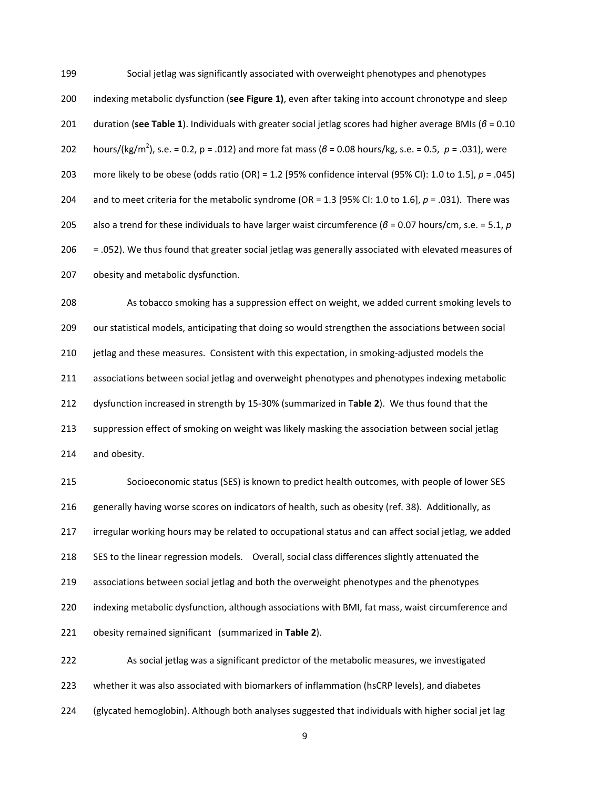199 Social jetlag was significantly associated with overweight phenotypes and phenotypes 200 indexing metabolic dysfunction (**see Figure 1)**, even after taking into account chronotype and sleep 201 duration (**see Table 1**). Individuals with greater social jetlag scores had higher average BMIs (*β* = 0.10 hours/(kg/m<sup>2</sup> 202 ), s.e. = 0.2, p = .012) and more fat mass (*β* = 0.08 hours/kg, s.e. = 0.5, *p* = .031), were 203 more likely to be obese (odds ratio (OR) = 1.2 [95% confidence interval (95% CI): 1.0 to 1.5], *p* = .045) 204 and to meet criteria for the metabolic syndrome (OR = 1.3 [95% CI: 1.0 to 1.6], *p* = .031). There was 205 also a trend for these individuals to have larger waist circumference (*β* = 0.07 hours/cm, s.e. = 5.1, *p*  206 = .052). We thus found that greater social jetlag was generally associated with elevated measures of 207 obesity and metabolic dysfunction.

208 As tobacco smoking has a suppression effect on weight, we added current smoking levels to 209 our statistical models, anticipating that doing so would strengthen the associations between social 210 jetlag and these measures. Consistent with this expectation, in smoking-adjusted models the 211 associations between social jetlag and overweight phenotypes and phenotypes indexing metabolic 212 dysfunction increased in strength by 15-30% (summarized in T**able 2**). We thus found that the 213 suppression effect of smoking on weight was likely masking the association between social jetlag 214 and obesity.

215 Socioeconomic status (SES) is known to predict health outcomes, with people of lower SES 216 generally having worse scores on indicators of health, such as obesity (ref. 38). Additionally, as 217 irregular working hours may be related to occupational status and can affect social jetlag, we added 218 SES to the linear regression models. Overall, social class differences slightly attenuated the 219 associations between social jetlag and both the overweight phenotypes and the phenotypes 220 indexing metabolic dysfunction, although associations with BMI, fat mass, waist circumference and 221 obesity remained significant (summarized in **Table 2**).

222 As social jetlag was a significant predictor of the metabolic measures, we investigated 223 whether it was also associated with biomarkers of inflammation (hsCRP levels), and diabetes 224 (glycated hemoglobin). Although both analyses suggested that individuals with higher social jet lag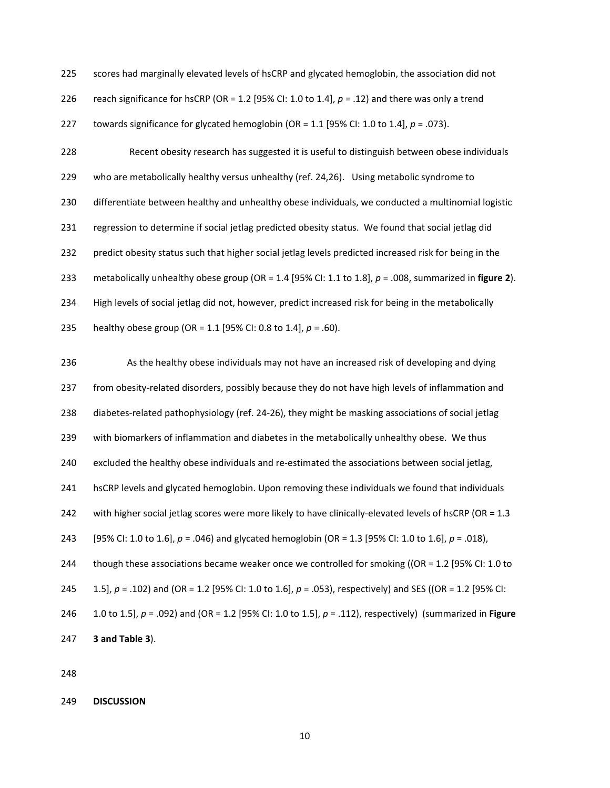225 scores had marginally elevated levels of hsCRP and glycated hemoglobin, the association did not

226 reach significance for hsCRP (OR = 1.2 [95% CI: 1.0 to 1.4],  $p = .12$ ) and there was only a trend

227 towards significance for glycated hemoglobin (OR =  $1.1$  [95% CI:  $1.0$  to  $1.4$ ],  $p = .073$ ).

228 Recent obesity research has suggested it is useful to distinguish between obese individuals 229 who are metabolically healthy versus unhealthy (ref. 24,26). Using metabolic syndrome to 230 differentiate between healthy and unhealthy obese individuals, we conducted a multinomial logistic 231 regression to determine if social jetlag predicted obesity status. We found that social jetlag did 232 predict obesity status such that higher social jetlag levels predicted increased risk for being in the 233 metabolically unhealthy obese group (OR = 1.4 [95% CI: 1.1 to 1.8], *p* = .008, summarized in **figure 2**). 234 High levels of social jetlag did not, however, predict increased risk for being in the metabolically 235 healthy obese group (OR = 1.1 [95% CI: 0.8 to 1.4], *p* = .60).

236 As the healthy obese individuals may not have an increased risk of developing and dying 237 from obesity-related disorders, possibly because they do not have high levels of inflammation and 238 diabetes-related pathophysiology (ref. 24-26), they might be masking associations of social jetlag 239 with biomarkers of inflammation and diabetes in the metabolically unhealthy obese. We thus 240 excluded the healthy obese individuals and re-estimated the associations between social jetlag, 241 hsCRP levels and glycated hemoglobin. Upon removing these individuals we found that individuals 242 with higher social jetlag scores were more likely to have clinically-elevated levels of hsCRP (OR = 1.3 243 [95% CI: 1.0 to 1.6], *p* = .046) and glycated hemoglobin (OR = 1.3 [95% CI: 1.0 to 1.6], *p* = .018), 244 though these associations became weaker once we controlled for smoking ((OR = 1.2 [95% CI: 1.0 to 245 1.5], *p* = .102) and (OR = 1.2 [95% CI: 1.0 to 1.6], *p* = .053), respectively) and SES ((OR = 1.2 [95% CI: 246 1.0 to 1.5], *p* = .092) and (OR = 1.2 [95% CI: 1.0 to 1.5], *p* = .112), respectively) (summarized in **Figure**  247 **3 and Table 3**).

248

249 **DISCUSSION**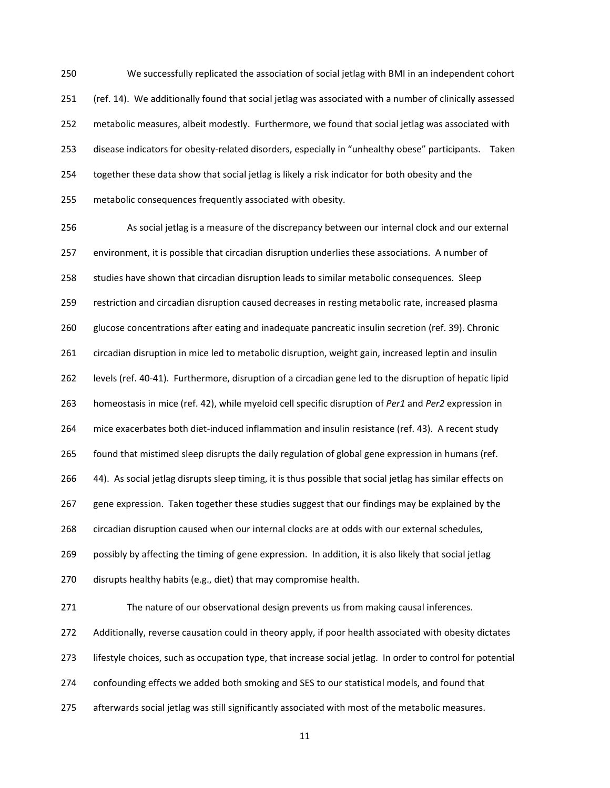250 We successfully replicated the association of social jetlag with BMI in an independent cohort 251 (ref. 14). We additionally found that social jetlag was associated with a number of clinically assessed 252 metabolic measures, albeit modestly. Furthermore, we found that social jetlag was associated with 253 disease indicators for obesity-related disorders, especially in "unhealthy obese" participants. Taken 254 together these data show that social jetlag is likely a risk indicator for both obesity and the 255 metabolic consequences frequently associated with obesity.

256 As social jetlag is a measure of the discrepancy between our internal clock and our external 257 environment, it is possible that circadian disruption underlies these associations. A number of 258 studies have shown that circadian disruption leads to similar metabolic consequences. Sleep 259 restriction and circadian disruption caused decreases in resting metabolic rate, increased plasma 260 glucose concentrations after eating and inadequate pancreatic insulin secretion (ref. 39). Chronic 261 circadian disruption in mice led to metabolic disruption, weight gain, increased leptin and insulin 262 levels (ref. 40-41). Furthermore, disruption of a circadian gene led to the disruption of hepatic lipid 263 homeostasis in mice (ref. 42), while myeloid cell specific disruption of *Per1* and *Per2* expression in 264 mice exacerbates both diet-induced inflammation and insulin resistance (ref. 43). A recent study 265 found that mistimed sleep disrupts the daily regulation of global gene expression in humans (ref. 266 44). As social jetlag disrupts sleep timing, it is thus possible that social jetlag has similar effects on 267 gene expression. Taken together these studies suggest that our findings may be explained by the 268 circadian disruption caused when our internal clocks are at odds with our external schedules, 269 possibly by affecting the timing of gene expression. In addition, it is also likely that social jetlag 270 disrupts healthy habits (e.g., diet) that may compromise health. 271 The nature of our observational design prevents us from making causal inferences. 272 Additionally, reverse causation could in theory apply, if poor health associated with obesity dictates 273 lifestyle choices, such as occupation type, that increase social jetlag. In order to control for potential 274 confounding effects we added both smoking and SES to our statistical models, and found that

275 afterwards social jetlag was still significantly associated with most of the metabolic measures.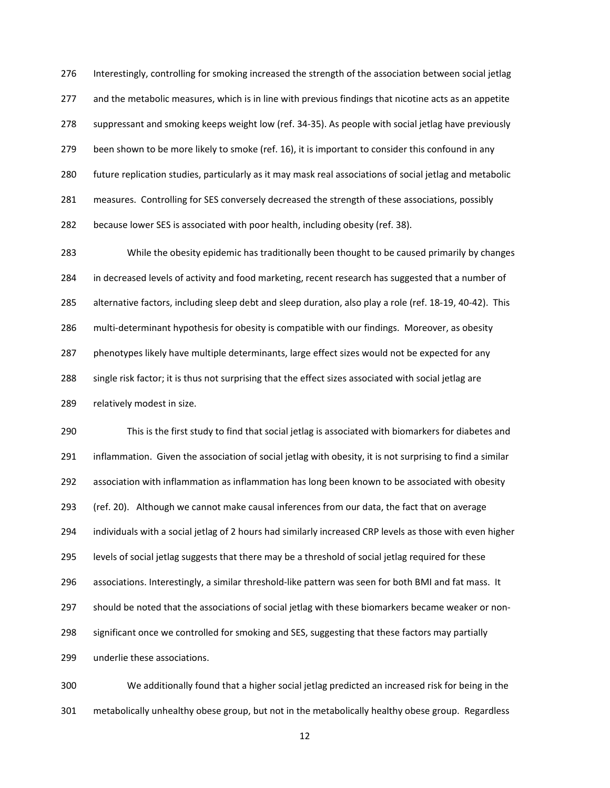276 Interestingly, controlling for smoking increased the strength of the association between social jetlag 277 and the metabolic measures, which is in line with previous findings that nicotine acts as an appetite 278 suppressant and smoking keeps weight low (ref. 34-35). As people with social jetlag have previously 279 been shown to be more likely to smoke (ref. 16), it is important to consider this confound in any 280 future replication studies, particularly as it may mask real associations of social jetlag and metabolic 281 measures. Controlling for SES conversely decreased the strength of these associations, possibly 282 because lower SES is associated with poor health, including obesity (ref. 38).

283 While the obesity epidemic has traditionally been thought to be caused primarily by changes 284 in decreased levels of activity and food marketing, recent research has suggested that a number of 285 alternative factors, including sleep debt and sleep duration, also play a role (ref. 18-19, 40-42). This 286 multi-determinant hypothesis for obesity is compatible with our findings. Moreover, as obesity 287 phenotypes likely have multiple determinants, large effect sizes would not be expected for any 288 single risk factor; it is thus not surprising that the effect sizes associated with social jetlag are 289 relatively modest in size.

290 This is the first study to find that social jetlag is associated with biomarkers for diabetes and 291 inflammation. Given the association of social jetlag with obesity, it is not surprising to find a similar 292 association with inflammation as inflammation has long been known to be associated with obesity 293 (ref. 20). Although we cannot make causal inferences from our data, the fact that on average 294 individuals with a social jetlag of 2 hours had similarly increased CRP levels as those with even higher 295 levels of social jetlag suggests that there may be a threshold of social jetlag required for these 296 associations. Interestingly, a similar threshold-like pattern was seen for both BMI and fat mass. It 297 should be noted that the associations of social jetlag with these biomarkers became weaker or non-298 significant once we controlled for smoking and SES, suggesting that these factors may partially 299 underlie these associations.

300 We additionally found that a higher social jetlag predicted an increased risk for being in the 301 metabolically unhealthy obese group, but not in the metabolically healthy obese group. Regardless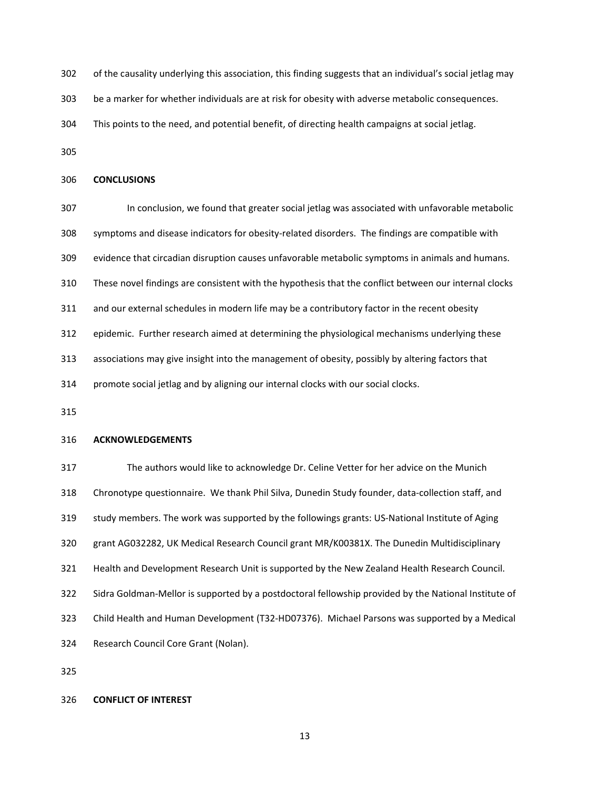- 302 of the causality underlying this association, this finding suggests that an individual's social jetlag may
- 303 be a marker for whether individuals are at risk for obesity with adverse metabolic consequences.
- 304 This points to the need, and potential benefit, of directing health campaigns at social jetlag.
- 305

## 306 **CONCLUSIONS**

- 307 In conclusion, we found that greater social jetlag was associated with unfavorable metabolic 308 symptoms and disease indicators for obesity-related disorders. The findings are compatible with
- 309 evidence that circadian disruption causes unfavorable metabolic symptoms in animals and humans.
- 310 These novel findings are consistent with the hypothesis that the conflict between our internal clocks
- 311 and our external schedules in modern life may be a contributory factor in the recent obesity
- 312 epidemic. Further research aimed at determining the physiological mechanisms underlying these
- 313 associations may give insight into the management of obesity, possibly by altering factors that
- 314 promote social jetlag and by aligning our internal clocks with our social clocks.
- 315

# 316 **ACKNOWLEDGEMENTS**

317 The authors would like to acknowledge Dr. Celine Vetter for her advice on the Munich 318 Chronotype questionnaire. We thank Phil Silva, Dunedin Study founder, data-collection staff, and 319 study members. The work was supported by the followings grants: US-National Institute of Aging 320 grant AG032282, UK Medical Research Council grant MR/K00381X. The Dunedin Multidisciplinary 321 Health and Development Research Unit is supported by the New Zealand Health Research Council. 322 Sidra Goldman-Mellor is supported by a postdoctoral fellowship provided by the National Institute of 323 Child Health and Human Development (T32-HD07376). Michael Parsons was supported by a Medical 324 Research Council Core Grant (Nolan).

325

## 326 **CONFLICT OF INTEREST**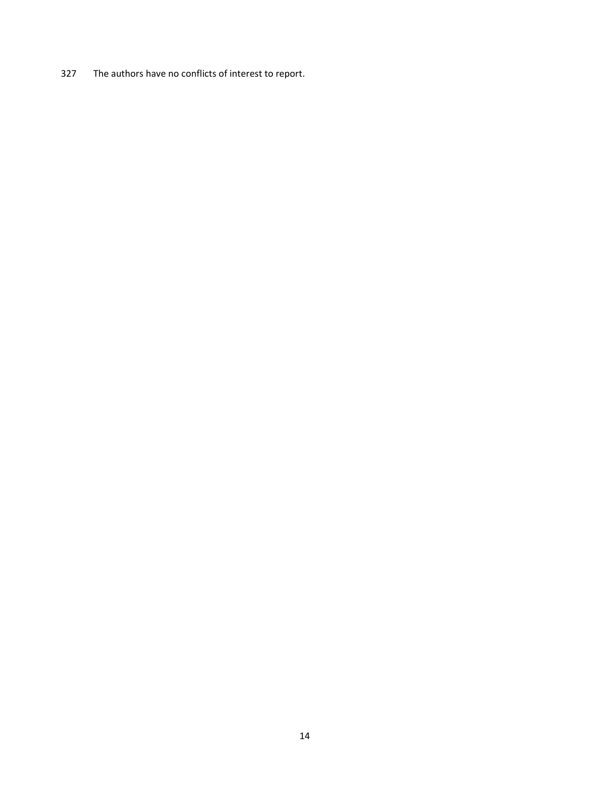327 The authors have no conflicts of interest to report.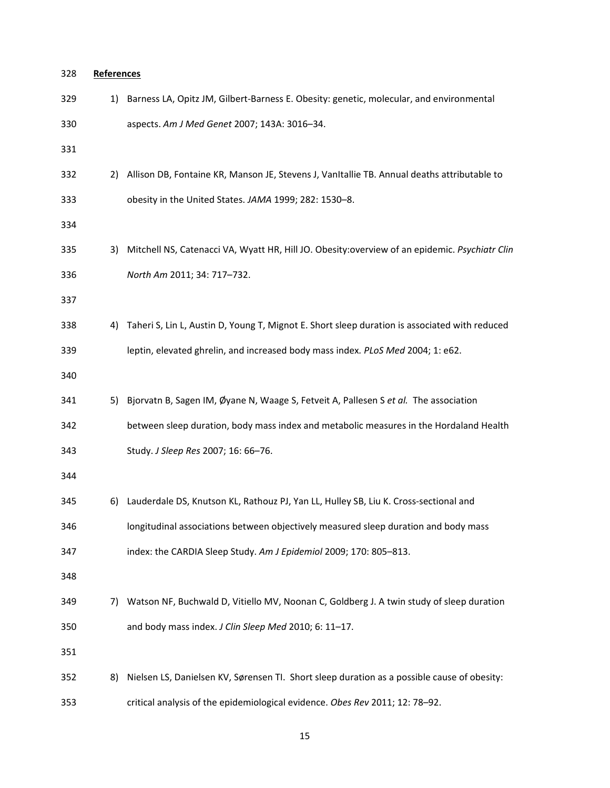| 328 | <b>References</b> |                                                                                                |
|-----|-------------------|------------------------------------------------------------------------------------------------|
| 329 | 1)                | Barness LA, Opitz JM, Gilbert-Barness E. Obesity: genetic, molecular, and environmental        |
| 330 |                   | aspects. Am J Med Genet 2007; 143A: 3016-34.                                                   |
| 331 |                   |                                                                                                |
| 332 | 2)                | Allison DB, Fontaine KR, Manson JE, Stevens J, VanItallie TB. Annual deaths attributable to    |
| 333 |                   | obesity in the United States. JAMA 1999; 282: 1530-8.                                          |
| 334 |                   |                                                                                                |
| 335 | 3)                | Mitchell NS, Catenacci VA, Wyatt HR, Hill JO. Obesity: overview of an epidemic. Psychiatr Clin |
| 336 |                   | North Am 2011; 34: 717-732.                                                                    |
| 337 |                   |                                                                                                |
| 338 | 4)                | Taheri S, Lin L, Austin D, Young T, Mignot E. Short sleep duration is associated with reduced  |
| 339 |                   | leptin, elevated ghrelin, and increased body mass index. PLoS Med 2004; 1: e62.                |
| 340 |                   |                                                                                                |
| 341 | 5)                | Bjorvatn B, Sagen IM, Øyane N, Waage S, Fetveit A, Pallesen S et al. The association           |
| 342 |                   | between sleep duration, body mass index and metabolic measures in the Hordaland Health         |
| 343 |                   | Study. J Sleep Res 2007; 16: 66-76.                                                            |
| 344 |                   |                                                                                                |
| 345 | 6)                | Lauderdale DS, Knutson KL, Rathouz PJ, Yan LL, Hulley SB, Liu K. Cross-sectional and           |
| 346 |                   | longitudinal associations between objectively measured sleep duration and body mass            |
| 347 |                   | index: the CARDIA Sleep Study. Am J Epidemiol 2009; 170: 805-813.                              |
| 348 |                   |                                                                                                |
| 349 | 7)                | Watson NF, Buchwald D, Vitiello MV, Noonan C, Goldberg J. A twin study of sleep duration       |
| 350 |                   | and body mass index. J Clin Sleep Med 2010; 6: 11-17.                                          |
| 351 |                   |                                                                                                |
| 352 | 8)                | Nielsen LS, Danielsen KV, Sørensen TI. Short sleep duration as a possible cause of obesity:    |
| 353 |                   | critical analysis of the epidemiological evidence. Obes Rev 2011; 12: 78-92.                   |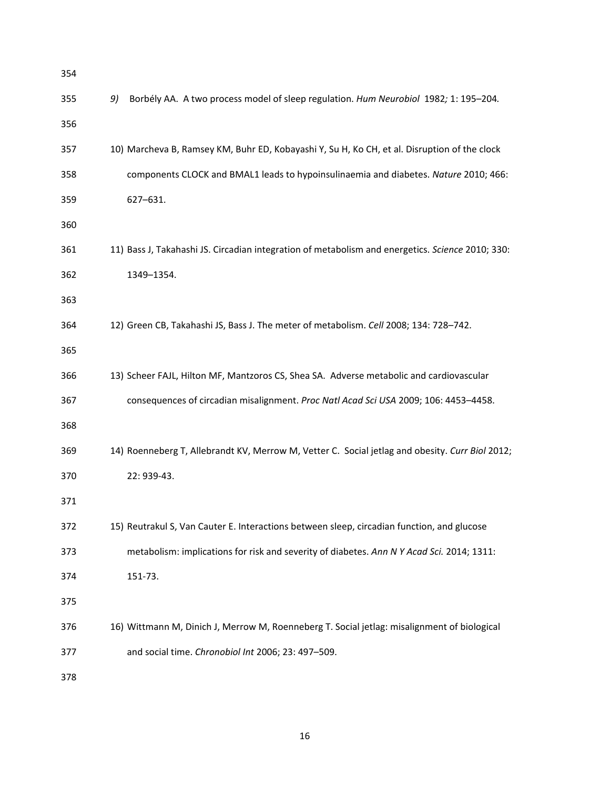| 354 |                                                                                                  |
|-----|--------------------------------------------------------------------------------------------------|
| 355 | Borbély AA. A two process model of sleep regulation. Hum Neurobiol 1982; 1: 195-204.<br>9)       |
| 356 |                                                                                                  |
| 357 | 10) Marcheva B, Ramsey KM, Buhr ED, Kobayashi Y, Su H, Ko CH, et al. Disruption of the clock     |
| 358 | components CLOCK and BMAL1 leads to hypoinsulinaemia and diabetes. Nature 2010; 466:             |
| 359 | 627-631.                                                                                         |
| 360 |                                                                                                  |
| 361 | 11) Bass J, Takahashi JS. Circadian integration of metabolism and energetics. Science 2010; 330: |
| 362 | 1349-1354.                                                                                       |
| 363 |                                                                                                  |
| 364 | 12) Green CB, Takahashi JS, Bass J. The meter of metabolism. Cell 2008; 134: 728-742.            |
| 365 |                                                                                                  |
| 366 | 13) Scheer FAJL, Hilton MF, Mantzoros CS, Shea SA. Adverse metabolic and cardiovascular          |
| 367 | consequences of circadian misalignment. Proc Natl Acad Sci USA 2009; 106: 4453-4458.             |
| 368 |                                                                                                  |
| 369 | 14) Roenneberg T, Allebrandt KV, Merrow M, Vetter C. Social jetlag and obesity. Curr Biol 2012;  |
| 370 | 22: 939-43.                                                                                      |
| 371 |                                                                                                  |
| 372 | 15) Reutrakul S, Van Cauter E. Interactions between sleep, circadian function, and glucose       |
| 373 | metabolism: implications for risk and severity of diabetes. Ann N Y Acad Sci. 2014; 1311:        |
| 374 | 151-73.                                                                                          |
| 375 |                                                                                                  |
| 376 | 16) Wittmann M, Dinich J, Merrow M, Roenneberg T. Social jetlag: misalignment of biological      |
| 377 | and social time. Chronobiol Int 2006; 23: 497-509.                                               |
| 378 |                                                                                                  |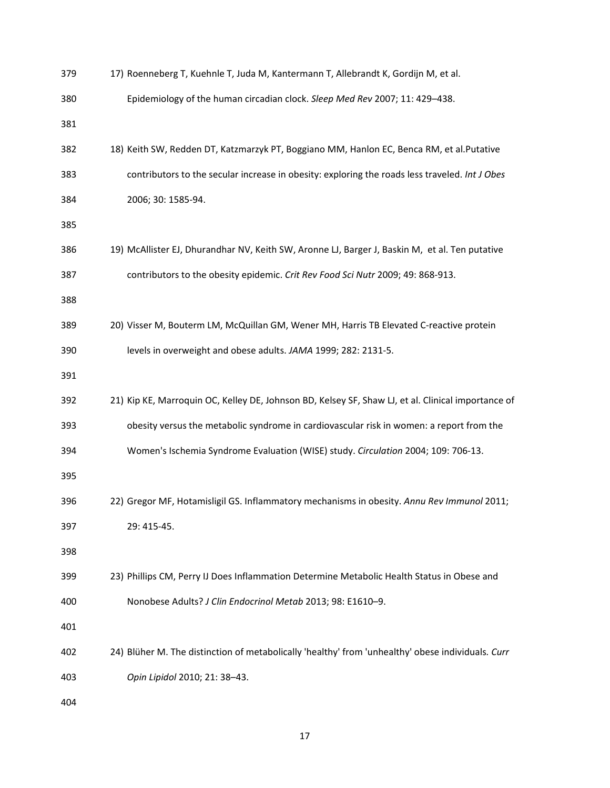| 379 | 17) Roenneberg T, Kuehnle T, Juda M, Kantermann T, Allebrandt K, Gordijn M, et al.                 |
|-----|----------------------------------------------------------------------------------------------------|
| 380 | Epidemiology of the human circadian clock. Sleep Med Rev 2007; 11: 429-438.                        |
| 381 |                                                                                                    |
| 382 | 18) Keith SW, Redden DT, Katzmarzyk PT, Boggiano MM, Hanlon EC, Benca RM, et al.Putative           |
| 383 | contributors to the secular increase in obesity: exploring the roads less traveled. Int J Obes     |
| 384 | 2006; 30: 1585-94.                                                                                 |
| 385 |                                                                                                    |
| 386 | 19) McAllister EJ, Dhurandhar NV, Keith SW, Aronne LJ, Barger J, Baskin M, et al. Ten putative     |
| 387 | contributors to the obesity epidemic. Crit Rev Food Sci Nutr 2009; 49: 868-913.                    |
| 388 |                                                                                                    |
| 389 | 20) Visser M, Bouterm LM, McQuillan GM, Wener MH, Harris TB Elevated C-reactive protein            |
| 390 | levels in overweight and obese adults. JAMA 1999; 282: 2131-5.                                     |
| 391 |                                                                                                    |
| 392 | 21) Kip KE, Marroquin OC, Kelley DE, Johnson BD, Kelsey SF, Shaw LJ, et al. Clinical importance of |
| 393 | obesity versus the metabolic syndrome in cardiovascular risk in women: a report from the           |
| 394 | Women's Ischemia Syndrome Evaluation (WISE) study. Circulation 2004; 109: 706-13.                  |
| 395 |                                                                                                    |
| 396 | 22) Gregor MF, Hotamisligil GS. Inflammatory mechanisms in obesity. Annu Rev Immunol 2011;         |
| 397 | 29: 415-45.                                                                                        |
| 398 |                                                                                                    |
| 399 | 23) Phillips CM, Perry IJ Does Inflammation Determine Metabolic Health Status in Obese and         |
| 400 | Nonobese Adults? J Clin Endocrinol Metab 2013; 98: E1610-9.                                        |
| 401 |                                                                                                    |
| 402 | 24) Blüher M. The distinction of metabolically 'healthy' from 'unhealthy' obese individuals. Curr  |
| 403 | Opin Lipidol 2010; 21: 38-43.                                                                      |
| 404 |                                                                                                    |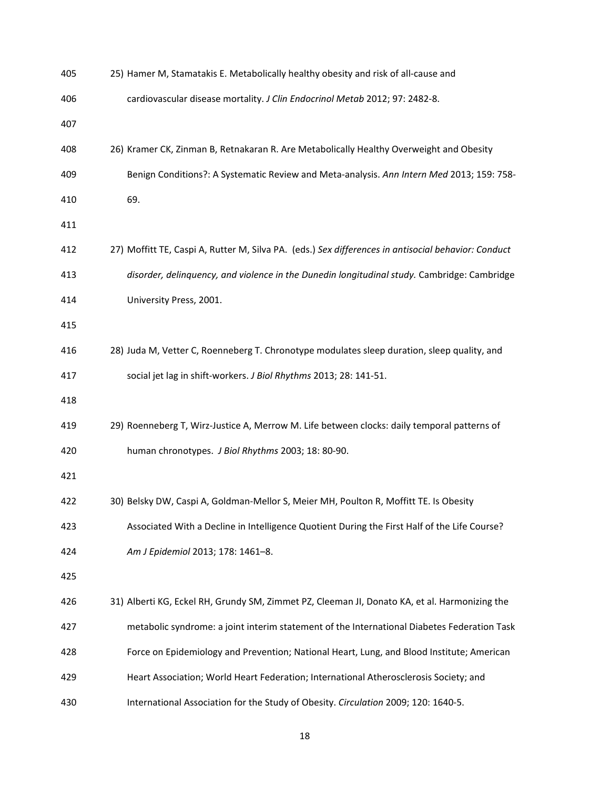| 405 | 25) Hamer M, Stamatakis E. Metabolically healthy obesity and risk of all-cause and                  |
|-----|-----------------------------------------------------------------------------------------------------|
| 406 | cardiovascular disease mortality. J Clin Endocrinol Metab 2012; 97: 2482-8.                         |
| 407 |                                                                                                     |
| 408 | 26) Kramer CK, Zinman B, Retnakaran R. Are Metabolically Healthy Overweight and Obesity             |
| 409 | Benign Conditions?: A Systematic Review and Meta-analysis. Ann Intern Med 2013; 159: 758-           |
| 410 | 69.                                                                                                 |
| 411 |                                                                                                     |
| 412 | 27) Moffitt TE, Caspi A, Rutter M, Silva PA. (eds.) Sex differences in antisocial behavior: Conduct |
| 413 | disorder, delinquency, and violence in the Dunedin longitudinal study. Cambridge: Cambridge         |
| 414 | University Press, 2001.                                                                             |
| 415 |                                                                                                     |
| 416 | 28) Juda M, Vetter C, Roenneberg T. Chronotype modulates sleep duration, sleep quality, and         |
| 417 | social jet lag in shift-workers. J Biol Rhythms 2013; 28: 141-51.                                   |
| 418 |                                                                                                     |
| 419 | 29) Roenneberg T, Wirz-Justice A, Merrow M. Life between clocks: daily temporal patterns of         |
| 420 | human chronotypes. J Biol Rhythms 2003; 18: 80-90.                                                  |
| 421 |                                                                                                     |
| 422 | 30) Belsky DW, Caspi A, Goldman-Mellor S, Meier MH, Poulton R, Moffitt TE. Is Obesity               |
| 423 | Associated With a Decline in Intelligence Quotient During the First Half of the Life Course?        |
| 424 | Am J Epidemiol 2013; 178: 1461-8.                                                                   |
| 425 |                                                                                                     |
| 426 | 31) Alberti KG, Eckel RH, Grundy SM, Zimmet PZ, Cleeman JI, Donato KA, et al. Harmonizing the       |
| 427 | metabolic syndrome: a joint interim statement of the International Diabetes Federation Task         |
| 428 | Force on Epidemiology and Prevention; National Heart, Lung, and Blood Institute; American           |
| 429 | Heart Association; World Heart Federation; International Atherosclerosis Society; and               |
| 430 | International Association for the Study of Obesity. Circulation 2009; 120: 1640-5.                  |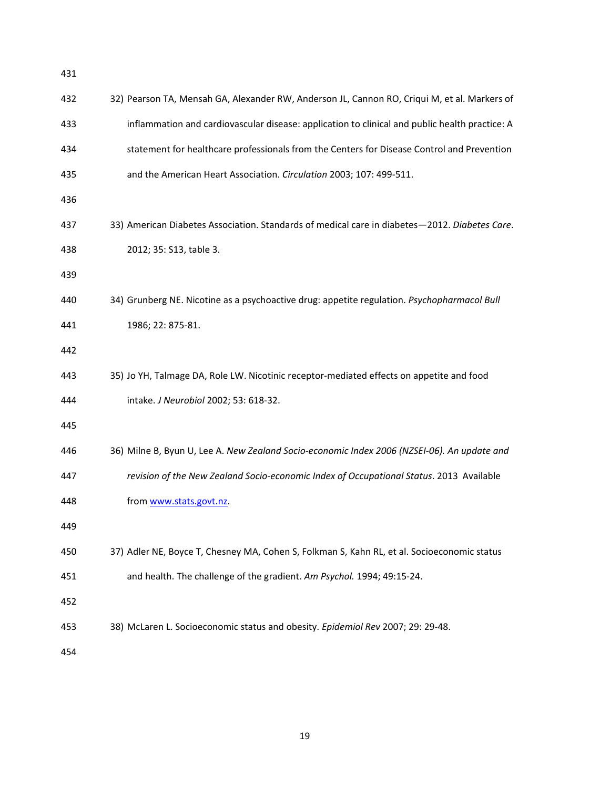| 432 | 32) Pearson TA, Mensah GA, Alexander RW, Anderson JL, Cannon RO, Criqui M, et al. Markers of   |
|-----|------------------------------------------------------------------------------------------------|
| 433 | inflammation and cardiovascular disease: application to clinical and public health practice: A |
| 434 | statement for healthcare professionals from the Centers for Disease Control and Prevention     |
| 435 | and the American Heart Association. Circulation 2003; 107: 499-511.                            |
| 436 |                                                                                                |
| 437 | 33) American Diabetes Association. Standards of medical care in diabetes-2012. Diabetes Care.  |
| 438 | 2012; 35: S13, table 3.                                                                        |
| 439 |                                                                                                |
| 440 | 34) Grunberg NE. Nicotine as a psychoactive drug: appetite regulation. Psychopharmacol Bull    |
| 441 | 1986; 22: 875-81.                                                                              |
| 442 |                                                                                                |
| 443 | 35) Jo YH, Talmage DA, Role LW. Nicotinic receptor-mediated effects on appetite and food       |
| 444 | intake. J Neurobiol 2002; 53: 618-32.                                                          |
| 445 |                                                                                                |
| 446 | 36) Milne B, Byun U, Lee A. New Zealand Socio-economic Index 2006 (NZSEI-06). An update and    |
| 447 | revision of the New Zealand Socio-economic Index of Occupational Status. 2013 Available        |
| 448 | from www.stats.govt.nz.                                                                        |
| 449 |                                                                                                |
| 450 | 37) Adler NE, Boyce T, Chesney MA, Cohen S, Folkman S, Kahn RL, et al. Socioeconomic status    |
| 451 | and health. The challenge of the gradient. Am Psychol. 1994; 49:15-24.                         |
| 452 |                                                                                                |
| 453 | 38) McLaren L. Socioeconomic status and obesity. Epidemiol Rev 2007; 29: 29-48.                |
| 454 |                                                                                                |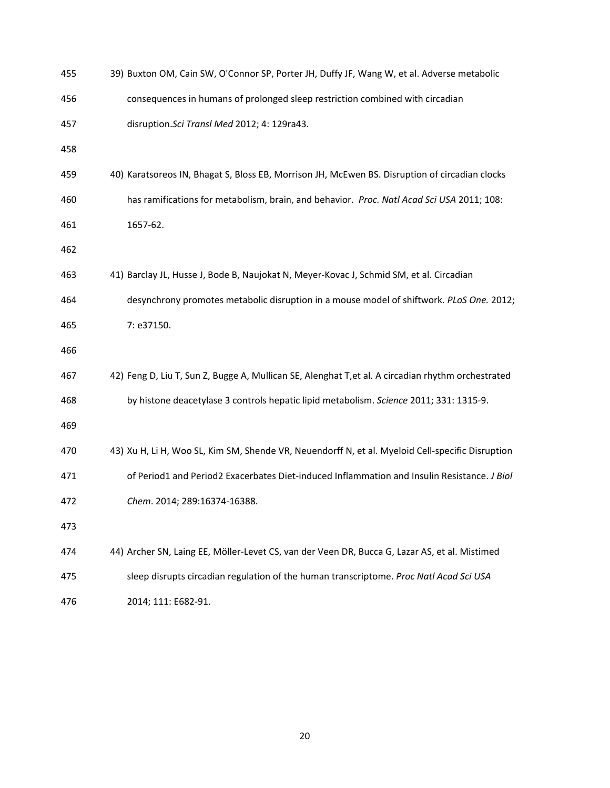| 455 | 39) Buxton OM, Cain SW, O'Connor SP, Porter JH, Duffy JF, Wang W, et al. Adverse metabolic         |
|-----|----------------------------------------------------------------------------------------------------|
| 456 | consequences in humans of prolonged sleep restriction combined with circadian                      |
| 457 | disruption. Sci Transl Med 2012; 4: 129ra43.                                                       |
| 458 |                                                                                                    |
| 459 | 40) Karatsoreos IN, Bhagat S, Bloss EB, Morrison JH, McEwen BS. Disruption of circadian clocks     |
| 460 | has ramifications for metabolism, brain, and behavior. Proc. Natl Acad Sci USA 2011; 108:          |
| 461 | 1657-62.                                                                                           |
| 462 |                                                                                                    |
| 463 | 41) Barclay JL, Husse J, Bode B, Naujokat N, Meyer-Kovac J, Schmid SM, et al. Circadian            |
| 464 | desynchrony promotes metabolic disruption in a mouse model of shiftwork. PLoS One. 2012;           |
| 465 | 7: e37150.                                                                                         |
| 466 |                                                                                                    |
| 467 | 42) Feng D, Liu T, Sun Z, Bugge A, Mullican SE, Alenghat T, et al. A circadian rhythm orchestrated |
| 468 | by histone deacetylase 3 controls hepatic lipid metabolism. Science 2011; 331: 1315-9.             |
| 469 |                                                                                                    |
| 470 | 43) Xu H, Li H, Woo SL, Kim SM, Shende VR, Neuendorff N, et al. Myeloid Cell-specific Disruption   |
| 471 | of Period1 and Period2 Exacerbates Diet-induced Inflammation and Insulin Resistance. J Biol        |
| 472 | Chem. 2014; 289:16374-16388.                                                                       |
| 473 |                                                                                                    |
| 474 | 44) Archer SN, Laing EE, Möller-Levet CS, van der Veen DR, Bucca G, Lazar AS, et al. Mistimed      |
| 475 | sleep disrupts circadian regulation of the human transcriptome. Proc Natl Acad Sci USA             |
| 476 | 2014; 111: E682-91.                                                                                |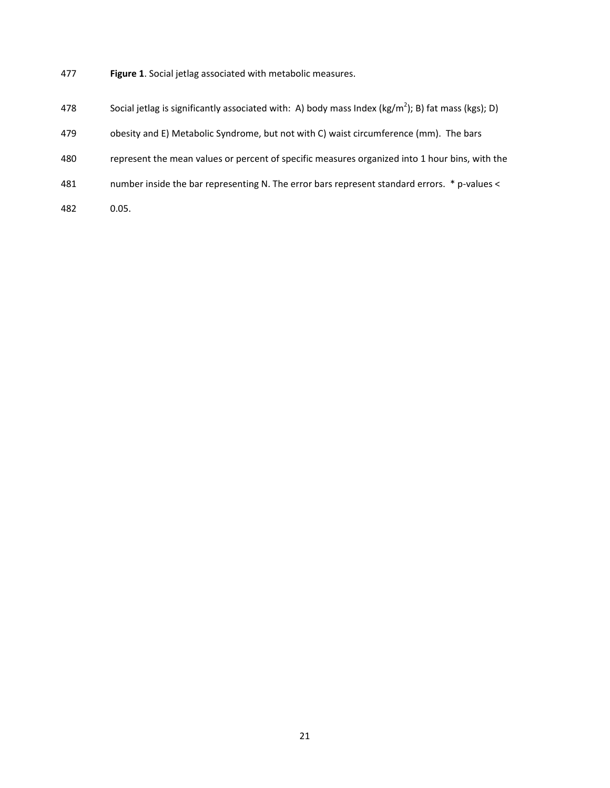- 477 **Figure 1**. Social jetlag associated with metabolic measures.
- 478 Social jetlag is significantly associated with: A) body mass Index (kg/m<sup>2</sup>); B) fat mass (kgs); D)
- 479 obesity and E) Metabolic Syndrome, but not with C) waist circumference (mm). The bars
- 480 represent the mean values or percent of specific measures organized into 1 hour bins, with the
- 481 number inside the bar representing N. The error bars represent standard errors. \* p-values <
- 482 0.05.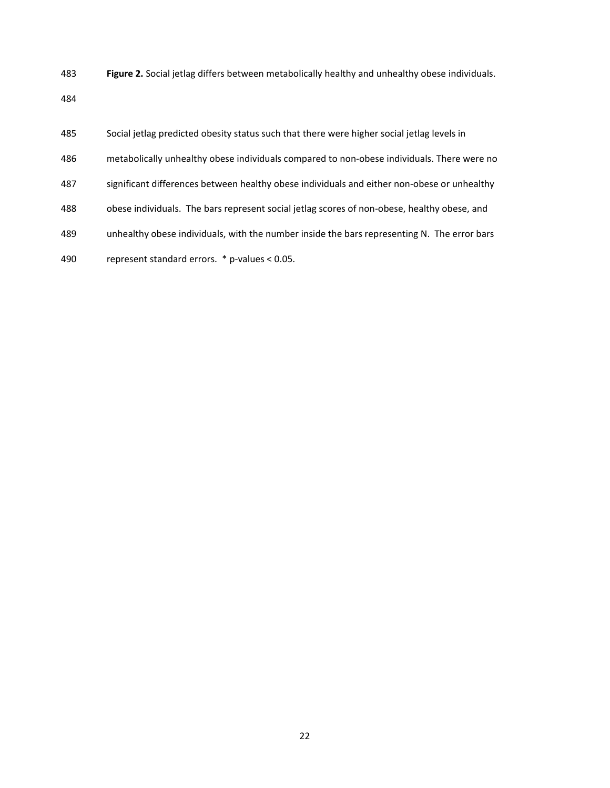483 **Figure 2.** Social jetlag differs between metabolically healthy and unhealthy obese individuals.

| 485 | Social jetlag predicted obesity status such that there were higher social jetlag levels in  |
|-----|---------------------------------------------------------------------------------------------|
| 486 | metabolically unhealthy obese individuals compared to non-obese individuals. There were no  |
| 487 | significant differences between healthy obese individuals and either non-obese or unhealthy |
| 488 | obese individuals. The bars represent social jetlag scores of non-obese, healthy obese, and |
| 489 | unhealthy obese individuals, with the number inside the bars representing N. The error bars |
| 490 | represent standard errors. * p-values < 0.05.                                               |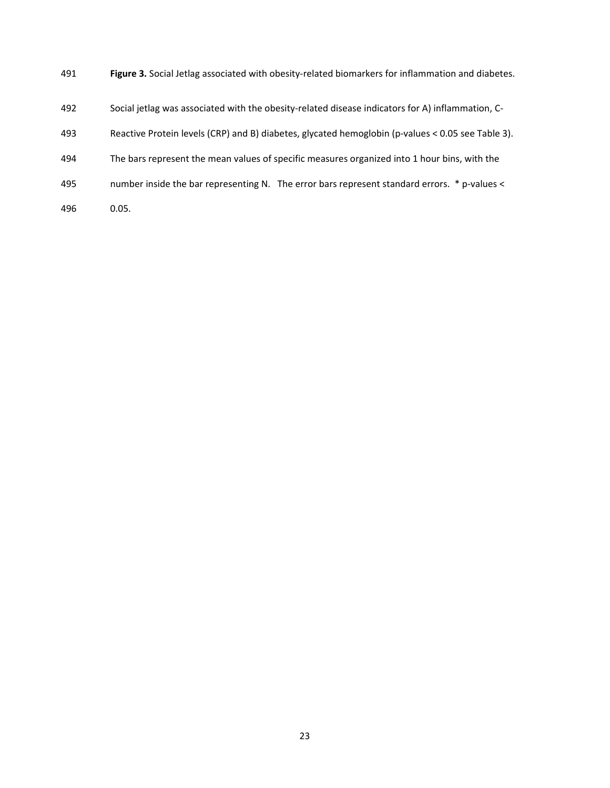- 491 **Figure 3.** Social Jetlag associated with obesity-related biomarkers for inflammation and diabetes.
- 492 Social jetlag was associated with the obesity-related disease indicators for A) inflammation, C-
- 493 Reactive Protein levels (CRP) and B) diabetes, glycated hemoglobin (p-values < 0.05 see Table 3).
- 494 The bars represent the mean values of specific measures organized into 1 hour bins, with the
- 495 number inside the bar representing N. The error bars represent standard errors. \* p-values <
- 496 0.05.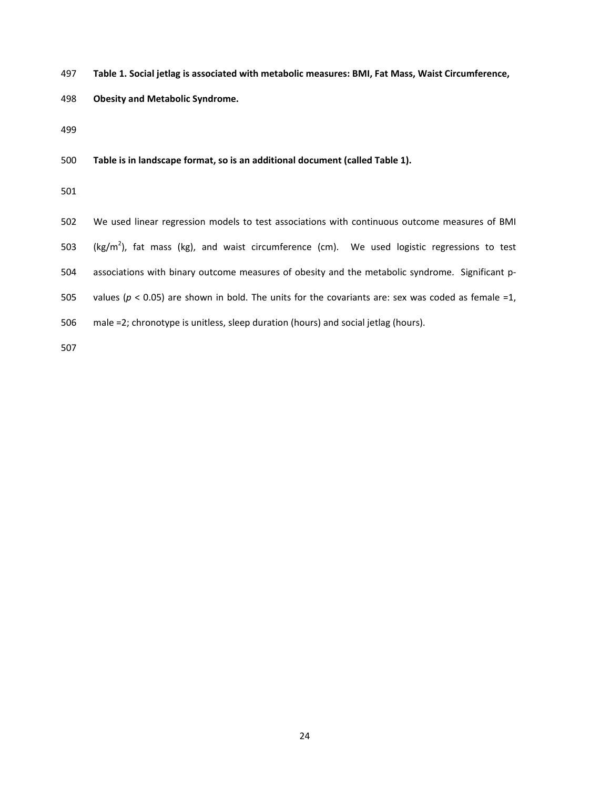- 497 **Table 1. Social jetlag is associated with metabolic measures: BMI, Fat Mass, Waist Circumference,**
- 498 **Obesity and Metabolic Syndrome.**

500 **Table is in landscape format, so is an additional document (called Table 1).** 

501

502 We used linear regression models to test associations with continuous outcome measures of BMI 503 (kg/m<sup>2</sup>), fat mass (kg), and waist circumference (cm). We used logistic regressions to test 504 associations with binary outcome measures of obesity and the metabolic syndrome. Significant p-505 values ( $p < 0.05$ ) are shown in bold. The units for the covariants are: sex was coded as female =1, 506 male =2; chronotype is unitless, sleep duration (hours) and social jetlag (hours).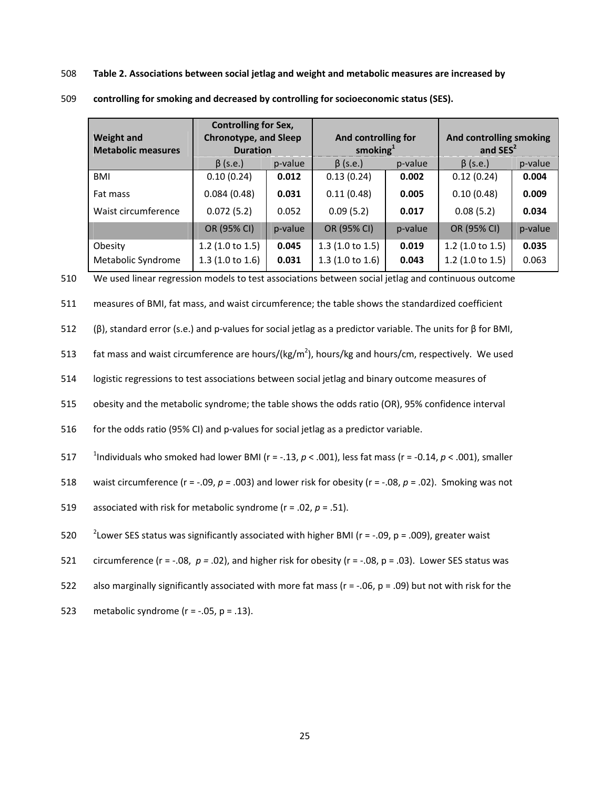508 **Table 2. Associations between social jetlag and weight and metabolic measures are increased by** 

| <b>Weight and</b><br><b>Metabolic measures</b> | <b>Controlling for Sex,</b><br><b>Chronotype, and Sleep</b><br><b>Duration</b> |                                      | And controlling for<br>smoking $1$ |         | And controlling smoking<br>and $SES2$ |         |  |
|------------------------------------------------|--------------------------------------------------------------------------------|--------------------------------------|------------------------------------|---------|---------------------------------------|---------|--|
|                                                | $\beta$ (s.e.)                                                                 | $\beta$ (s.e.)<br>p-value<br>p-value |                                    |         | $\beta$ (s.e.)                        | p-value |  |
| BMI                                            | 0.10(0.24)                                                                     | 0.012                                | 0.13(0.24)                         | 0.002   | 0.12(0.24)                            | 0.004   |  |
| Fat mass                                       | 0.084(0.48)                                                                    | 0.031                                | 0.11(0.48)<br>0.005                |         | 0.10(0.48)                            | 0.009   |  |
| Waist circumference                            | 0.072(5.2)                                                                     | 0.052                                | 0.09(5.2)                          | 0.017   | 0.08(5.2)                             | 0.034   |  |
|                                                | OR (95% CI)                                                                    | p-value                              | OR (95% CI)                        | p-value | OR (95% CI)                           | p-value |  |
| Obesity                                        | $1.2$ (1.0 to 1.5)                                                             | 0.045                                | 1.3(1.0 to 1.5)                    | 0.019   | $1.2$ (1.0 to 1.5)                    | 0.035   |  |
| Metabolic Syndrome                             | 1.3(1.0 to 1.6)                                                                | 0.031                                | 1.3(1.0 to 1.6)                    | 0.043   | $1.2$ (1.0 to 1.5)                    | 0.063   |  |

509 **controlling for smoking and decreased by controlling for socioeconomic status (SES).** 

510 We used linear regression models to test associations between social jetlag and continuous outcome

511 measures of BMI, fat mass, and waist circumference; the table shows the standardized coefficient

512 (β), standard error (s.e.) and p-values for social jetlag as a predictor variable. The units for β for BMI,

513 fat mass and waist circumference are hours/(kg/m<sup>2</sup>), hours/kg and hours/cm, respectively. We used

514 logistic regressions to test associations between social jetlag and binary outcome measures of

515 obesity and the metabolic syndrome; the table shows the odds ratio (OR), 95% confidence interval

516 for the odds ratio (95% CI) and p-values for social jetlag as a predictor variable.

<sup>1</sup> 517 Individuals who smoked had lower BMI (r = -.13, *p* < .001), less fat mass (r = -0.14, *p* < .001), smaller

518 waist circumference (r = -.09, *p =* .003) and lower risk for obesity (r = -.08, *p* = .02). Smoking was not

519 associated with risk for metabolic syndrome (r = .02, *p* = .51).

520 <sup>2</sup> Lower SES status was significantly associated with higher BMI ( $r = -0.09$ ,  $p = 0.009$ ), greater waist

- 521 circumference (r = -.08, *p =* .02), and higher risk for obesity (r = -.08, p = .03). Lower SES status was
- 522 also marginally significantly associated with more fat mass ( $r = -.06$ ,  $p = .09$ ) but not with risk for the
- 523 metabolic syndrome ( $r = -0.05$ ,  $p = 0.13$ ).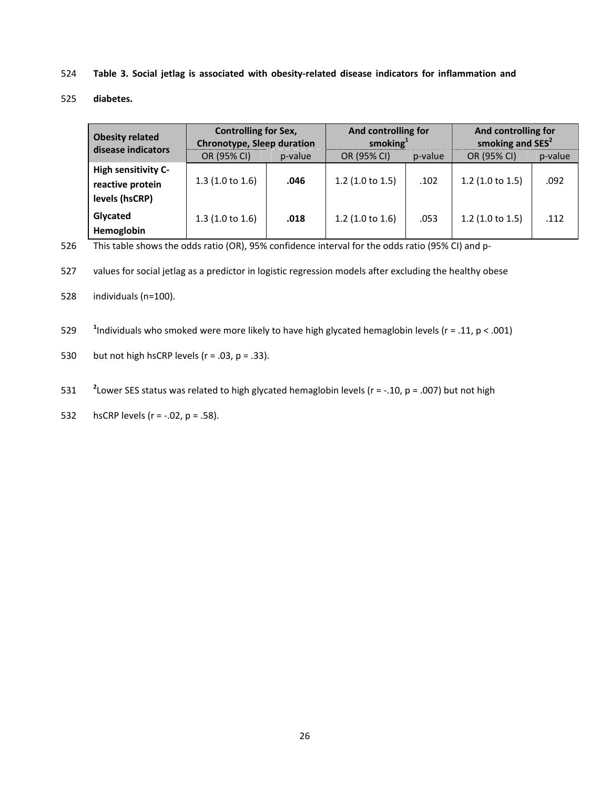- 524 **Table 3. Social jetlag is associated with obesity-related disease indicators for inflammation and**
- 525 **diabetes.**

| <b>Obesity related</b><br>disease indicators                     | <b>Controlling for Sex,</b><br>Chronotype, Sleep duration |         | And controlling for<br>smoking $1$ |         | And controlling for<br>smoking and SES <sup>2</sup> |         |  |
|------------------------------------------------------------------|-----------------------------------------------------------|---------|------------------------------------|---------|-----------------------------------------------------|---------|--|
|                                                                  | OR (95% CI)                                               | p-value | OR (95% CI)                        | p-value | OR (95% CI)                                         | p-value |  |
| <b>High sensitivity C-</b><br>reactive protein<br>levels (hsCRP) | 1.3(1.0 to 1.6)                                           | .046    | 1.2 $(1.0 to 1.5)$                 | .102    | $1.2$ (1.0 to 1.5)                                  | .092    |  |
| Glycated<br>Hemoglobin                                           | 1.3(1.0 to 1.6)                                           | .018    | 1.2 $(1.0 to 1.6)$                 | .053    | $1.2$ (1.0 to 1.5)                                  | .112    |  |

526 This table shows the odds ratio (OR), 95% confidence interval for the odds ratio (95% CI) and p-

527 values for social jetlag as a predictor in logistic regression models after excluding the healthy obese

528 individuals (n=100).

529 <sup>1</sup> 1ndividuals who smoked were more likely to have high glycated hemaglobin levels ( $r = .11$ ,  $p < .001$ )

530 but not high hsCRP levels ( $r = .03$ ,  $p = .33$ ).

531 <sup>2</sup> Lower SES status was related to high glycated hemaglobin levels ( $r = -10$ ,  $p = .007$ ) but not high

532 hsCRP levels ( $r = -.02$ ,  $p = .58$ ).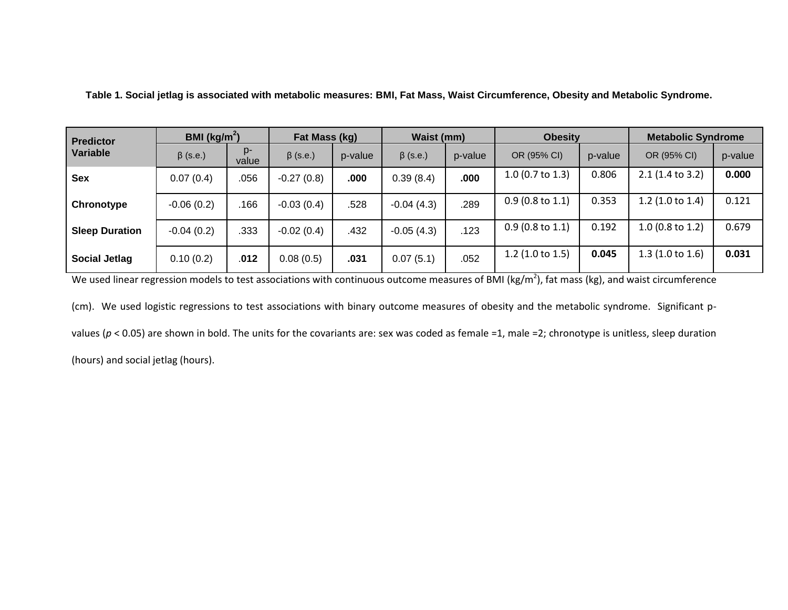| <b>Predictor</b>      | BMI ( $\text{kg/m}^2$ ) |                | Fat Mass (kg)  |         | Waist (mm)     |         | <b>Obesity</b>     |         | <b>Metabolic Syndrome</b> |         |
|-----------------------|-------------------------|----------------|----------------|---------|----------------|---------|--------------------|---------|---------------------------|---------|
| Variable              | $\beta$ (s.e.)          | $D -$<br>value | $\beta$ (s.e.) | p-value | $\beta$ (s.e.) | p-value | OR (95% CI)        | p-value | OR (95% CI)               | p-value |
| Sex                   | 0.07(0.4)               | .056           | $-0.27(0.8)$   | .000    | 0.39(8.4)      | .000    | 1.0 (0.7 to 1.3)   | 0.806   | 2.1 (1.4 to 3.2)          | 0.000   |
| Chronotype            | $-0.06(0.2)$            | .166           | $-0.03(0.4)$   | .528    | $-0.04(4.3)$   | .289    | $0.9$ (0.8 to 1.1) | 0.353   | 1.2 $(1.0 to 1.4)$        | 0.121   |
| <b>Sleep Duration</b> | $-0.04(0.2)$            | .333           | $-0.02(0.4)$   | .432    | $-0.05(4.3)$   | .123    | $0.9$ (0.8 to 1.1) | 0.192   | $1.0$ (0.8 to 1.2)        | 0.679   |
| <b>Social Jetlag</b>  | 0.10(0.2)               | .012           | 0.08(0.5)      | .031    | 0.07(5.1)      | .052    | 1.2 $(1.0 to 1.5)$ | 0.045   | 1.3(1.0 to 1.6)           | 0.031   |

**Table 1. Social jetlag is associated with metabolic measures: BMI, Fat Mass, Waist Circumference, Obesity and Metabolic Syndrome.**

We used linear regression models to test associations with continuous outcome measures of BMI (kg/m<sup>2</sup>), fat mass (kg), and waist circumference

(cm). We used logistic regressions to test associations with binary outcome measures of obesity and the metabolic syndrome. Significant p-

values ( $p$  < 0.05) are shown in bold. The units for the covariants are: sex was coded as female =1, male =2; chronotype is unitless, sleep duration

(hours) and social jetlag (hours).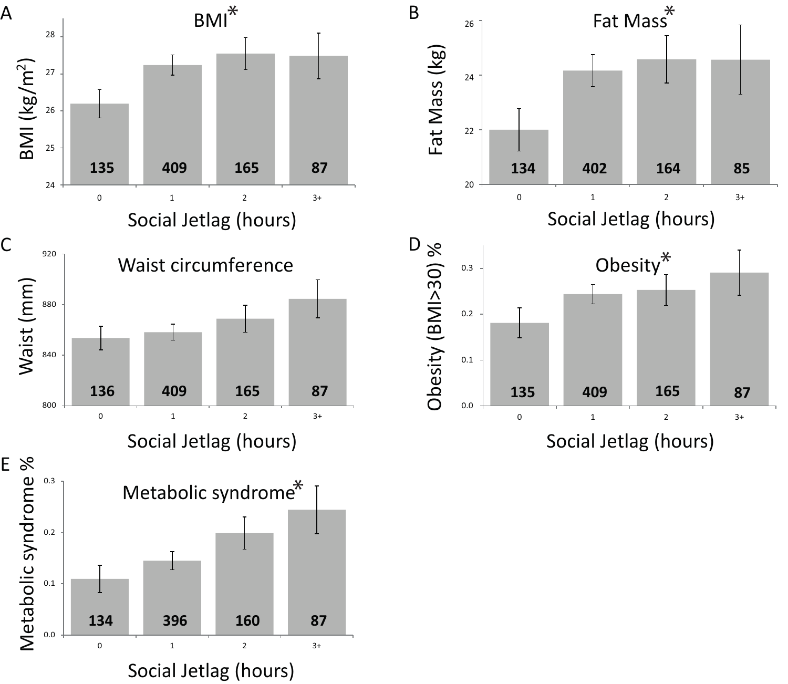

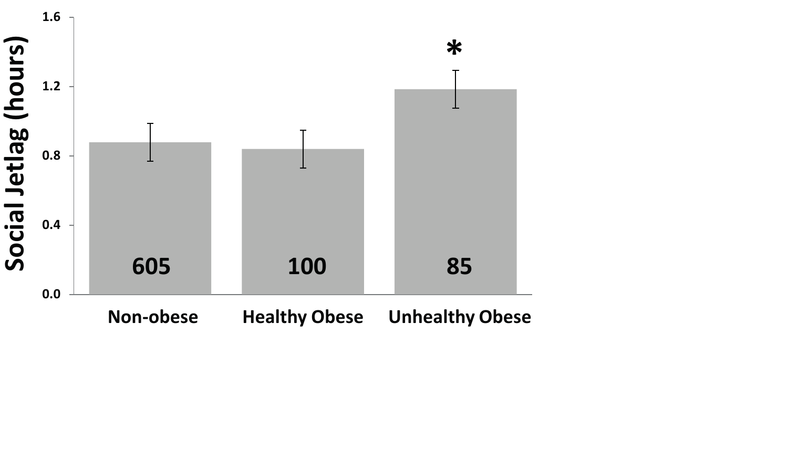